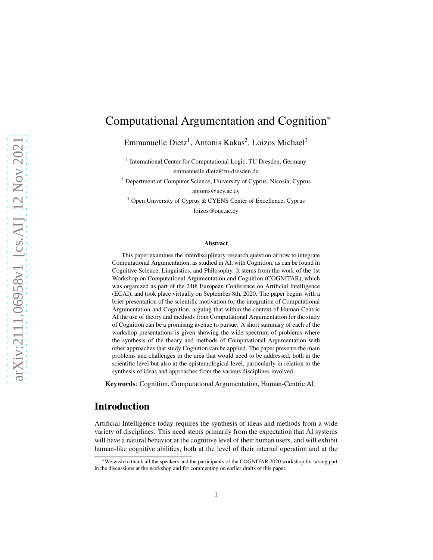# Computational Argumentation and Cognition\*

Emmanuelle Dietz<sup>1</sup>, Antonis Kakas<sup>2</sup>, Loizos Michael<sup>3</sup>

<sup>1</sup> International Center for Computational Logic, TU Dresden, Germany emmanuelle.dietz@tu-dresden.de

<sup>2</sup> Department of Computer Science, University of Cyprus, Nicosia, Cyprus antonis@ucy.ac.cy

<sup>3</sup> Open University of Cyprus & CYENS Center of Excellence, Cyprus

loizos@ouc.ac.cy

#### Abstract

This paper examines the interdisciplinary research question of how to integrate Computational Argumentation, as studied in AI, with Cognition, as can be found in Cognitive Science, Linguistics, and Philosophy. It stems from the work of the 1st Workshop on Computational Argumentation and Cognition (COGNITAR), which was organized as part of the 24th European Conference on Artificial Intelligence (ECAI), and took place virtually on September 8th, 2020. The paper begins with a brief presentation of the scientific motivation for the integration of Computational Argumentation and Cognition, arguing that within the context of Human-Centric AI the use of theory and methods from Computational Argumentation for the study of Cognition can be a promising avenue to pursue. A short summary of each of the workshop presentations is given showing the wide spectrum of problems where the synthesis of the theory and methods of Computational Argumentation with other approaches that study Cognition can be applied. The paper presents the main problems and challenges in the area that would need to be addressed, both at the scientific level but also at the epistemological level, particularly in relation to the synthesis of ideas and approaches from the various disciplines involved.

Keywords: Cognition, Computational Argumentation, Human-Centric AI.

## Introduction

Artificial Intelligence today requires the synthesis of ideas and methods from a wide variety of disciplines. This need stems primarily from the expectation that AI systems will have a natural behavior at the cognitive level of their human users, and will exhibit human-like cognitive abilities, both at the level of their internal operation and at the

<sup>\*</sup>We wish to thank all the speakers and the participants of the COGNITAR 2020 workshop for taking part in the discussions at the workshop and for commenting on earlier drafts of this paper.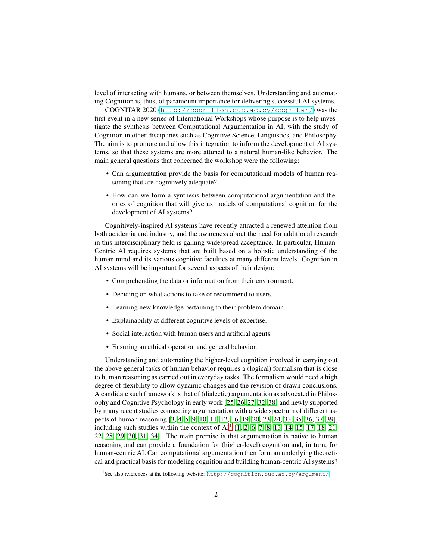level of interacting with humans, or between themselves. Understanding and automating Cognition is, thus, of paramount importance for delivering successful AI systems.

COGNITAR 2020 (<http://cognition.ouc.ac.cy/cognitar/>) was the first event in a new series of International Workshops whose purpose is to help investigate the synthesis between Computational Argumentation in AI, with the study of Cognition in other disciplines such as Cognitive Science, Linguistics, and Philosophy. The aim is to promote and allow this integration to inform the development of AI systems, so that these systems are more attuned to a natural human-like behavior. The main general questions that concerned the workshop were the following:

- Can argumentation provide the basis for computational models of human reasoning that are cognitively adequate?
- How can we form a synthesis between computational argumentation and theories of cognition that will give us models of computational cognition for the development of AI systems?

Cognitively-inspired AI systems have recently attracted a renewed attention from both academia and industry, and the awareness about the need for additional research in this interdisciplinary field is gaining widespread acceptance. In particular, Human-Centric AI requires systems that are built based on a holistic understanding of the human mind and its various cognitive faculties at many different levels. Cognition in AI systems will be important for several aspects of their design:

- Comprehending the data or information from their environment.
- Deciding on what actions to take or recommend to users.
- Learning new knowledge pertaining to their problem domain.
- Explainability at different cognitive levels of expertise.
- Social interaction with human users and artificial agents.
- Ensuring an ethical operation and general behavior.

Understanding and automating the higher-level cognition involved in carrying out the above general tasks of human behavior requires a (logical) formalism that is close to human reasoning as carried out in everyday tasks. The formalism would need a high degree of flexibility to allow dynamic changes and the revision of drawn conclusions. A candidate such framework is that of (dialectic) argumentation as advocated in Philosophy and Cognitive Psychology in early work [\[25,](#page-7-0) [26,](#page-7-1) [27,](#page-7-2) [32,](#page-7-3) [38\]](#page-8-0) and newly supported by many recent studies connecting argumentation with a wide spectrum of different aspects of human reasoning [\[3,](#page-6-0) [4,](#page-6-1) [5,](#page-6-2) [9,](#page-6-3) [10,](#page-6-4) [11,](#page-6-5) [12,](#page-6-6) [16,](#page-7-4) [19,](#page-7-5) [20,](#page-7-6) [23,](#page-7-7) [24,](#page-7-8) [33,](#page-7-9) [35,](#page-8-1) [36,](#page-8-2) [37,](#page-8-3) [39\]](#page-8-4), including such studies within the context of  $AI<sup>1</sup>$  $AI<sup>1</sup>$  $AI<sup>1</sup>$  [\[1,](#page-6-7) [2,](#page-6-8) [6,](#page-6-9) [7,](#page-6-10) [8,](#page-6-11) [13,](#page-6-12) [14,](#page-7-10) [15,](#page-7-11) [17,](#page-7-12) [18,](#page-7-13) [21,](#page-7-14) [22,](#page-7-15) [28,](#page-7-16) [29,](#page-7-17) [30,](#page-7-18) [31,](#page-7-19) [34\]](#page-8-5). The main premise is that argumentation is native to human reasoning and can provide a foundation for (higher-level) cognition and, in turn, for human-centric AI. Can computational argumentation then form an underlying theoretical and practical basis for modeling cognition and building human-centric AI systems?

<span id="page-1-0"></span><sup>&</sup>lt;sup>1</sup>See also references at the following website: <http://cognition.ouc.ac.cy/argument/>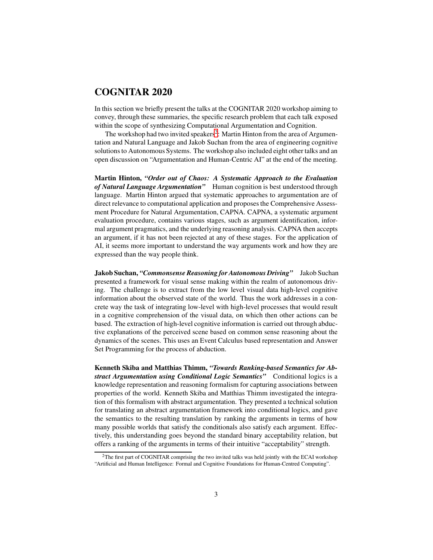#### COGNITAR 2020

In this section we briefly present the talks at the COGNITAR 2020 workshop aiming to convey, through these summaries, the specific research problem that each talk exposed within the scope of synthesizing Computational Argumentation and Cognition.

The workshop had two invited speakers<sup>[2](#page-2-0)</sup>: Martin Hinton from the area of Argumentation and Natural Language and Jakob Suchan from the area of engineering cognitive solutions to Autonomous Systems. The workshop also included eight other talks and an open discussion on "Argumentation and Human-Centric AI" at the end of the meeting.

Martin Hinton, *"Order out of Chaos: A Systematic Approach to the Evaluation of Natural Language Argumentation"* Human cognition is best understood through language. Martin Hinton argued that systematic approaches to argumentation are of direct relevance to computational application and proposes the Comprehensive Assessment Procedure for Natural Argumentation, CAPNA. CAPNA, a systematic argument evaluation procedure, contains various stages, such as argument identification, informal argument pragmatics, and the underlying reasoning analysis. CAPNA then accepts an argument, if it has not been rejected at any of these stages. For the application of AI, it seems more important to understand the way arguments work and how they are expressed than the way people think.

Jakob Suchan, *"Commonsense Reasoning for Autonomous Driving"* Jakob Suchan presented a framework for visual sense making within the realm of autonomous driving. The challenge is to extract from the low level visual data high-level cognitive information about the observed state of the world. Thus the work addresses in a concrete way the task of integrating low-level with high-level processes that would result in a cognitive comprehension of the visual data, on which then other actions can be based. The extraction of high-level cognitive information is carried out through abductive explanations of the perceived scene based on common sense reasoning about the dynamics of the scenes. This uses an Event Calculus based representation and Answer Set Programming for the process of abduction.

Kenneth Skiba and Matthias Thimm, *"Towards Ranking-based Semantics for Abstract Argumentation using Conditional Logic Semantics"* Conditional logics is a knowledge representation and reasoning formalism for capturing associations between properties of the world. Kenneth Skiba and Matthias Thimm investigated the integration of this formalism with abstract argumentation. They presented a technical solution for translating an abstract argumentation framework into conditional logics, and gave the semantics to the resulting translation by ranking the arguments in terms of how many possible worlds that satisfy the conditionals also satisfy each argument. Effectively, this understanding goes beyond the standard binary acceptability relation, but offers a ranking of the arguments in terms of their intuitive "acceptability" strength.

<span id="page-2-0"></span><sup>&</sup>lt;sup>2</sup>The first part of COGNITAR comprising the two invited talks was held jointly with the ECAI workshop "Artificial and Human Intelligence: Formal and Cognitive Foundations for Human-Centred Computing".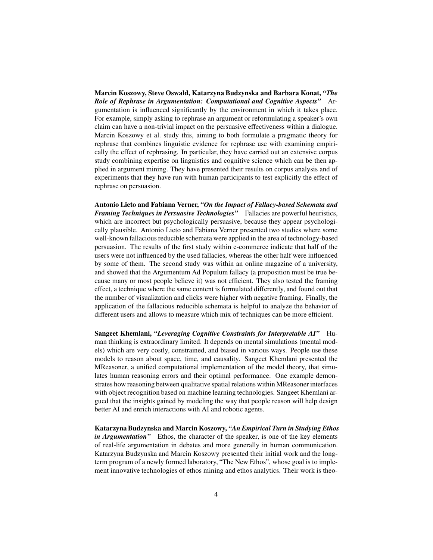Marcin Koszowy, Steve Oswald, Katarzyna Budzynska and Barbara Konat, *"The Role of Rephrase in Argumentation: Computational and Cognitive Aspects"* Argumentation is influenced significantly by the environment in which it takes place. For example, simply asking to rephrase an argument or reformulating a speaker's own claim can have a non-trivial impact on the persuasive effectiveness within a dialogue. Marcin Koszowy et al. study this, aiming to both formulate a pragmatic theory for rephrase that combines linguistic evidence for rephrase use with examining empirically the effect of rephrasing. In particular, they have carried out an extensive corpus study combining expertise on linguistics and cognitive science which can be then applied in argument mining. They have presented their results on corpus analysis and of experiments that they have run with human participants to test explicitly the effect of rephrase on persuasion.

Antonio Lieto and Fabiana Verner, *"On the Impact of Fallacy-based Schemata and Framing Techniques in Persuasive Technologies"* Fallacies are powerful heuristics, which are incorrect but psychologically persuasive, because they appear psychologically plausible. Antonio Lieto and Fabiana Verner presented two studies where some well-known fallacious reducible schemata were applied in the area of technology-based persuasion. The results of the first study within e-commerce indicate that half of the users were not influenced by the used fallacies, whereas the other half were influenced by some of them. The second study was within an online magazine of a university, and showed that the Argumentum Ad Populum fallacy (a proposition must be true because many or most people believe it) was not efficient. They also tested the framing effect, a technique where the same content is formulated differently, and found out that the number of visualization and clicks were higher with negative framing. Finally, the application of the fallacious reducible schemata is helpful to analyze the behavior of different users and allows to measure which mix of techniques can be more efficient.

Sangeet Khemlani, *"Leveraging Cognitive Constraints for Interpretable AI"* Human thinking is extraordinary limited. It depends on mental simulations (mental models) which are very costly, constrained, and biased in various ways. People use these models to reason about space, time, and causality. Sangeet Khemlani presented the MReasoner, a unified computational implementation of the model theory, that simulates human reasoning errors and their optimal performance. One example demonstrates how reasoning between qualitative spatial relations within MReasoner interfaces with object recognition based on machine learning technologies. Sangeet Khemlani argued that the insights gained by modeling the way that people reason will help design better AI and enrich interactions with AI and robotic agents.

Katarzyna Budzynska and Marcin Koszowy, *"An Empirical Turn in Studying Ethos in Argumentation*" Ethos, the character of the speaker, is one of the key elements of real-life argumentation in debates and more generally in human communication. Katarzyna Budzynska and Marcin Koszowy presented their initial work and the longterm program of a newly formed laboratory, "The New Ethos", whose goal is to implement innovative technologies of ethos mining and ethos analytics. Their work is theo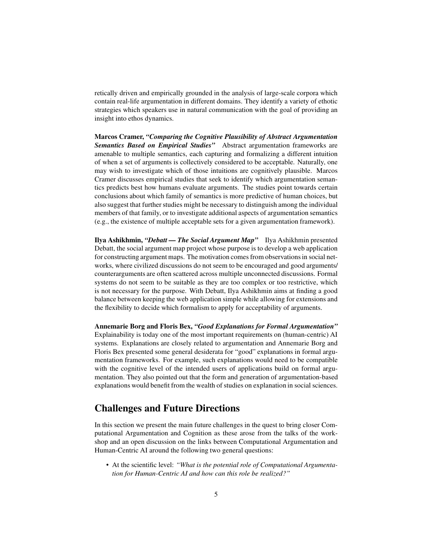retically driven and empirically grounded in the analysis of large-scale corpora which contain real-life argumentation in different domains. They identify a variety of ethotic strategies which speakers use in natural communication with the goal of providing an insight into ethos dynamics.

Marcos Cramer, *"Comparing the Cognitive Plausibility of Abstract Argumentation Semantics Based on Empirical Studies"* Abstract argumentation frameworks are amenable to multiple semantics, each capturing and formalizing a different intuition of when a set of arguments is collectively considered to be acceptable. Naturally, one may wish to investigate which of those intuitions are cognitively plausible. Marcos Cramer discusses empirical studies that seek to identify which argumentation semantics predicts best how humans evaluate arguments. The studies point towards certain conclusions about which family of semantics is more predictive of human choices, but also suggest that further studies might be necessary to distinguish among the individual members of that family, or to investigate additional aspects of argumentation semantics (e.g., the existence of multiple acceptable sets for a given argumentation framework).

Ilya Ashikhmin, *"Debatt — The Social Argument Map"* Ilya Ashikhmin presented Debatt, the social argument map project whose purpose is to develop a web application for constructing argument maps. The motivation comes from observations in social networks, where civilized discussions do not seem to be encouraged and good arguments/ counterarguments are often scattered across multiple unconnected discussions. Formal systems do not seem to be suitable as they are too complex or too restrictive, which is not necessary for the purpose. With Debatt, Ilya Ashikhmin aims at finding a good balance between keeping the web application simple while allowing for extensions and the flexibility to decide which formalism to apply for acceptability of arguments.

Annemarie Borg and Floris Bex, *"Good Explanations for Formal Argumentation"* Explainability is today one of the most important requirements on (human-centric) AI systems. Explanations are closely related to argumentation and Annemarie Borg and Floris Bex presented some general desiderata for "good" explanations in formal argumentation frameworks. For example, such explanations would need to be compatible with the cognitive level of the intended users of applications build on formal argumentation. They also pointed out that the form and generation of argumentation-based explanations would benefit from the wealth of studies on explanation in social sciences.

### Challenges and Future Directions

In this section we present the main future challenges in the quest to bring closer Computational Argumentation and Cognition as these arose from the talks of the workshop and an open discussion on the links between Computational Argumentation and Human-Centric AI around the following two general questions:

• At the scientific level: *"What is the potential role of Computational Argumentation for Human-Centric AI and how can this role be realized?"*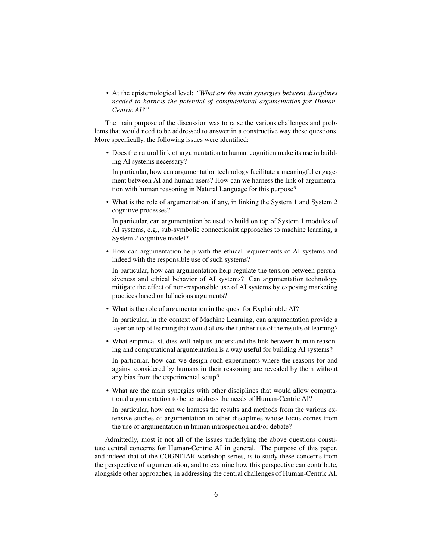• At the epistemological level: *"What are the main synergies between disciplines needed to harness the potential of computational argumentation for Human-Centric AI?"*

The main purpose of the discussion was to raise the various challenges and problems that would need to be addressed to answer in a constructive way these questions. More specifically, the following issues were identified:

• Does the natural link of argumentation to human cognition make its use in building AI systems necessary?

In particular, how can argumentation technology facilitate a meaningful engagement between AI and human users? How can we harness the link of argumentation with human reasoning in Natural Language for this purpose?

• What is the role of argumentation, if any, in linking the System 1 and System 2 cognitive processes?

In particular, can argumentation be used to build on top of System 1 modules of AI systems, e.g., sub-symbolic connectionist approaches to machine learning, a System 2 cognitive model?

• How can argumentation help with the ethical requirements of AI systems and indeed with the responsible use of such systems?

In particular, how can argumentation help regulate the tension between persuasiveness and ethical behavior of AI systems? Can argumentation technology mitigate the effect of non-responsible use of AI systems by exposing marketing practices based on fallacious arguments?

• What is the role of argumentation in the quest for Explainable AI?

In particular, in the context of Machine Learning, can argumentation provide a layer on top of learning that would allow the further use of the results of learning?

• What empirical studies will help us understand the link between human reasoning and computational argumentation is a way useful for building AI systems?

In particular, how can we design such experiments where the reasons for and against considered by humans in their reasoning are revealed by them without any bias from the experimental setup?

• What are the main synergies with other disciplines that would allow computational argumentation to better address the needs of Human-Centric AI?

In particular, how can we harness the results and methods from the various extensive studies of argumentation in other disciplines whose focus comes from the use of argumentation in human introspection and/or debate?

Admittedly, most if not all of the issues underlying the above questions constitute central concerns for Human-Centric AI in general. The purpose of this paper, and indeed that of the COGNITAR workshop series, is to study these concerns from the perspective of argumentation, and to examine how this perspective can contribute, alongside other approaches, in addressing the central challenges of Human-Centric AI.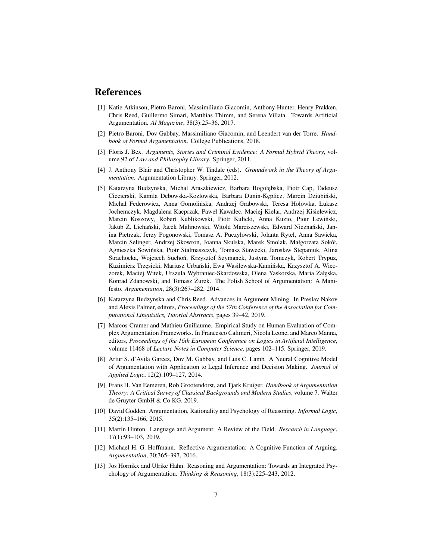#### <span id="page-6-7"></span>References

- [1] Katie Atkinson, Pietro Baroni, Massimiliano Giacomin, Anthony Hunter, Henry Prakken, Chris Reed, Guillermo Simari, Matthias Thimm, and Serena Villata. Towards Artificial Argumentation. *AI Magazine*, 38(3):25–36, 2017.
- <span id="page-6-8"></span><span id="page-6-0"></span>[2] Pietro Baroni, Dov Gabbay, Massimiliano Giacomin, and Leendert van der Torre. *Handbook of Formal Argumentation*. College Publications, 2018.
- [3] Floris J. Bex. *Arguments, Stories and Criminal Evidence: A Formal Hybrid Theory*, volume 92 of *Law and Philosophy Library*. Springer, 2011.
- <span id="page-6-1"></span>[4] J. Anthony Blair and Christopher W. Tindale (eds). *Groundwork in the Theory of Argumentation*. Argumentation Library. Springer, 2012.
- <span id="page-6-2"></span>[5] Katarzyna Budzynska, Michal Araszkiewicz, Barbara Bogołębska, Piotr Cap, Tadeusz Ciecierski, Kamila Debowska-Kozlowska, Barbara Dunin-Keplicz, Marcin Dziubiński, Michał Federowicz, Anna Gomolińska, Andrzej Grabowski, Teresa Hołówka, Łukasz Jochemczyk, Magdalena Kacprzak, Paweł Kawalec, Maciej Kielar, Andrzej Kisielewicz, Marcin Koszowy, Robert Kublikowski, Piotr Kulicki, Anna Kuzio, Piotr Lewiński, Jakub Z. Lichański, Jacek Malinowski, Witold Marciszewski, Edward Nieznański, Janina Pietrzak, Jerzy Pogonowski, Tomasz A. Puczyłowski, Jolanta Rytel, Anna Sawicka, Marcin Selinger, Andrzej Skowron, Joanna Skulska, Marek Smolak, Małgorzata Sokół, Agnieszka Sowińska, Piotr Stalmaszczyk, Tomasz Stawecki, Jarosław Stepaniuk, Alina Strachocka, Wojciech Suchoń, Krzysztof Szymanek, Justyna Tomczyk, Robert Trypuz, Kazimierz Trzęsicki, Mariusz Urbański, Ewa Wasilewska-Kamińska, Krzysztof A. Wieczorek, Maciej Witek, Urszula Wybraniec-Skardowska, Olena Yaskorska, Maria Załęska, Konrad Zdanowski, and Tomasz Zurek. The Polish School of Argumentation: A Manifesto. *Argumentation*, 28(3):267–282, 2014.
- <span id="page-6-9"></span>[6] Katarzyna Budzynska and Chris Reed. Advances in Argument Mining. In Preslav Nakov and Alexis Palmer, editors, *Proceedings of the 57th Conference of the Association for Computational Linguistics, Tutorial Abstracts*, pages 39–42, 2019.
- <span id="page-6-10"></span>[7] Marcos Cramer and Mathieu Guillaume. Empirical Study on Human Evaluation of Complex Argumentation Frameworks. In Francesco Calimeri, Nicola Leone, and Marco Manna, editors, *Proceedings of the 16th European Conference on Logics in Artificial Intelligence*, volume 11468 of *Lecture Notes in Computer Science*, pages 102–115. Springer, 2019.
- <span id="page-6-11"></span>[8] Artur S. d'Avila Garcez, Dov M. Gabbay, and Luis C. Lamb. A Neural Cognitive Model of Argumentation with Application to Legal Inference and Decision Making. *Journal of Applied Logic*, 12(2):109–127, 2014.
- <span id="page-6-3"></span>[9] Frans H. Van Eemeren, Rob Grootendorst, and Tjark Kruiger. *Handbook of Argumentation Theory: A Critical Survey of Classical Backgrounds and Modern Studies*, volume 7. Walter de Gruyter GmbH & Co KG, 2019.
- <span id="page-6-4"></span>[10] David Godden. Argumentation, Rationality and Psychology of Reasoning. *Informal Logic*, 35(2):135–166, 2015.
- <span id="page-6-5"></span>[11] Martin Hinton. Language and Argument: A Review of the Field. *Research in Language*, 17(1):93–103, 2019.
- <span id="page-6-6"></span>[12] Michael H. G. Hoffmann. Reflective Argumentation: A Cognitive Function of Arguing. *Argumentation*, 30:365–397, 2016.
- <span id="page-6-12"></span>[13] Jos Hornikx and Ulrike Hahn. Reasoning and Argumentation: Towards an Integrated Psychology of Argumentation. *Thinking & Reasoning*, 18(3):225–243, 2012.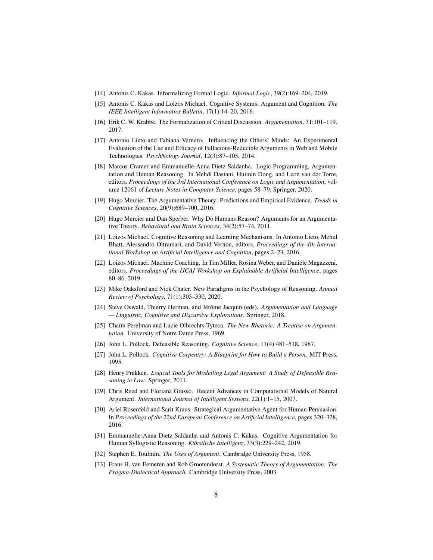- <span id="page-7-11"></span><span id="page-7-10"></span>[14] Antonis C. Kakas. Informalizing Formal Logic. *Informal Logic*, 39(2):169–204, 2019.
- <span id="page-7-4"></span>[15] Antonis C. Kakas and Loizos Michael. Cognitive Systems: Argument and Cognition. *The IEEE Intelligent Informatics Bulletin*, 17(1):14–20, 2016.
- <span id="page-7-12"></span>[16] Erik C. W. Krabbe. The Formalization of Critical Discussion. *Argumentation*, 31:101–119, 2017.
- [17] Antonio Lieto and Fabiana Vernero. Influencing the Others' Minds: An Experimental Evaluation of the Use and Efficacy of Fallacious-Reducible Arguments in Web and Mobile Technologies. *PsychNology Journal*, 12(3):87–105, 2014.
- <span id="page-7-13"></span>[18] Marcos Cramer and Emmanuelle-Anna Dietz Saldanha. Logic Programming, Argumentation and Human Reasoning. In Mehdi Dastani, Huimin Dong, and Leon van der Torre, editors, *Proceedings of the 3rd International Conference on Logic and Argumentation*, volume 12061 of *Lecture Notes in Computer Science*, pages 58–79. Springer, 2020.
- <span id="page-7-5"></span>[19] Hugo Mercier. The Argumentative Theory: Predictions and Empirical Evidence. *Trends in Cognitive Sciences*, 20(9):689–700, 2016.
- <span id="page-7-6"></span>[20] Hugo Mercier and Dan Sperber. Why Do Humans Reason? Arguments for an Argumentative Theory. *Behavioral and Brain Sciences*, 34(2):57–74, 2011.
- <span id="page-7-14"></span>[21] Loizos Michael. Cognitive Reasoning and Learning Mechanisms. In Antonio Lieto, Mehul Bhatt, Alessandro Oltramari, and David Vernon, editors, *Proceedings of the 4th International Workshop on Artificial Intelligence and Cognition*, pages 2–23, 2016.
- <span id="page-7-15"></span>[22] Loizos Michael. Machine Coaching. In Tim Miller, Rosina Weber, and Daniele Magazzeni, editors, *Proceedings of the IJCAI Workshop on Explainable Artificial Intelligence*, pages 80–86, 2019.
- <span id="page-7-7"></span>[23] Mike Oaksford and Nick Chater. New Paradigms in the Psychology of Reasoning. *Annual Review of Psychology*, 71(1):305–330, 2020.
- <span id="page-7-8"></span>[24] Steve Oswald, Thierry Herman, and Jérôme Jacquin (eds). *Argumentation and Language — Linguistic, Cognitive and Discursive Explorations*. Springer, 2018.
- <span id="page-7-0"></span>[25] Chaïm Perelman and Lucie Olbrechts-Tyteca. *The New Rhetoric: A Treatise on Argumentation*. University of Notre Dame Press, 1969.
- <span id="page-7-2"></span><span id="page-7-1"></span>[26] John L. Pollock. Defeasible Reasoning. *Cognitive Science*, 11(4):481–518, 1987.
- <span id="page-7-16"></span>[27] John L. Pollock. *Cognitive Carpentry: A Blueprint for How to Build a Person*. MIT Press, 1995.
- [28] Henry Prakken. *Logical Tools for Modelling Legal Argument: A Study of Defeasible Reasoning in Law*. Springer, 2011.
- <span id="page-7-17"></span>[29] Chris Reed and Floriana Grasso. Recent Advances in Computational Models of Natural Argument. *International Journal of Intelligent Systems*, 22(1):1–15, 2007.
- <span id="page-7-18"></span>[30] Ariel Rosenfeld and Sarit Kraus. Strategical Argumentative Agent for Human Persuasion. In *Proceedings of the 22nd European Conference on Artificial Intelligence*, pages 320–328, 2016.
- <span id="page-7-19"></span>[31] Emmanuelle-Anna Dietz Saldanha and Antonis C. Kakas. Cognitive Argumentation for Human Syllogistic Reasoning. *K¨unstliche Intelligenz*, 33(3):229–242, 2019.
- <span id="page-7-9"></span><span id="page-7-3"></span>[32] Stephen E. Toulmin. *The Uses of Argument*. Cambridge University Press, 1958.
- [33] Frans H. van Eemeren and Rob Grootendorst. *A Systematic Theory of Argumentation: The Pragma-Dialectical Approach*. Cambridge University Press, 2003.